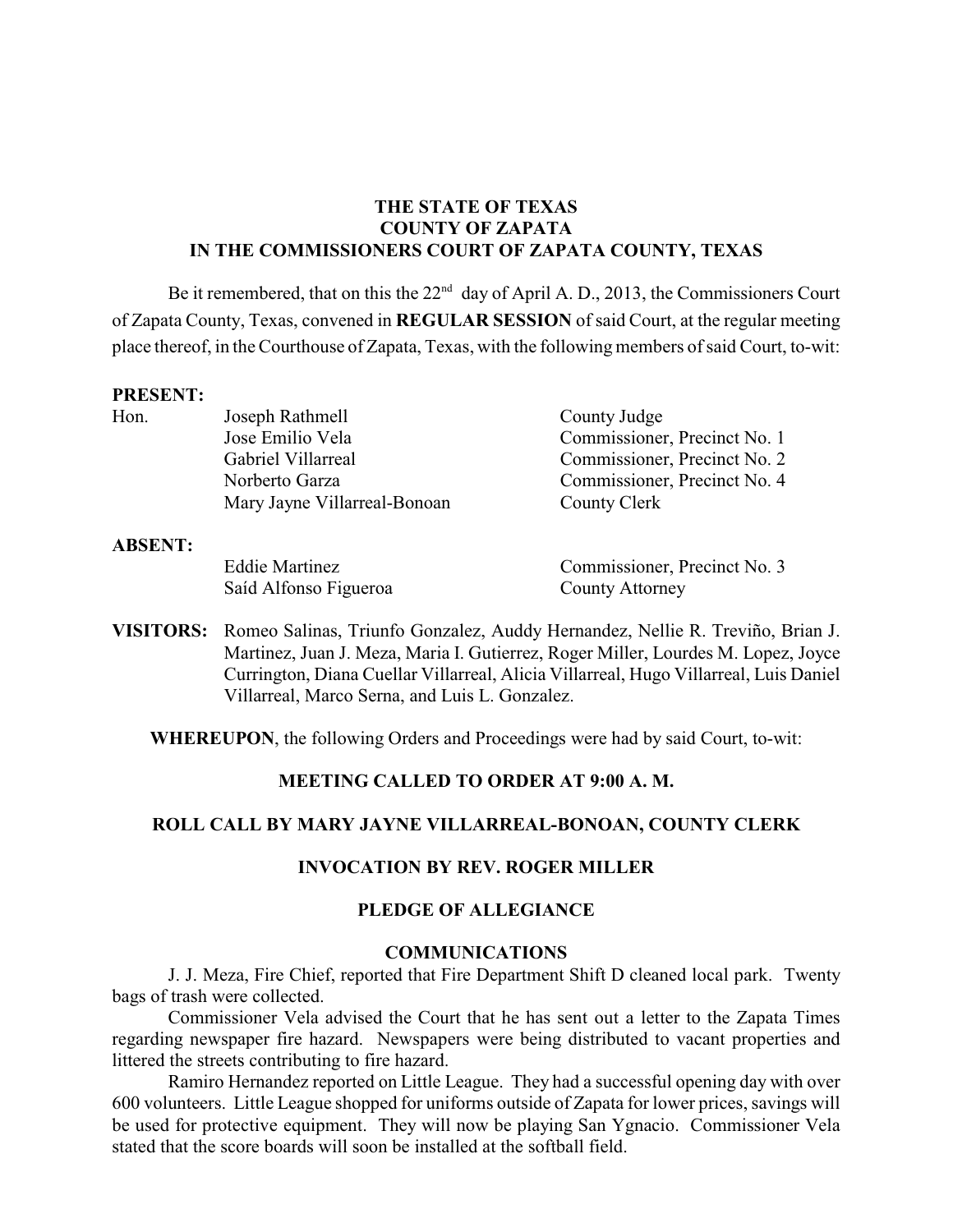### **THE STATE OF TEXAS COUNTY OF ZAPATA IN THE COMMISSIONERS COURT OF ZAPATA COUNTY, TEXAS**

Be it remembered, that on this the  $22<sup>nd</sup>$  day of April A. D., 2013, the Commissioners Court of Zapata County, Texas, convened in **REGULAR SESSION** of said Court, at the regular meeting place thereof, in theCourthouse of Zapata, Texas, with the following members of said Court, to-wit:

#### **PRESENT:**

| Hon. | Joseph Rathmell              | County Judge                 |
|------|------------------------------|------------------------------|
|      | Jose Emilio Vela             | Commissioner, Precinct No. 1 |
|      | Gabriel Villarreal           | Commissioner, Precinct No. 2 |
|      | Norberto Garza               | Commissioner, Precinct No. 4 |
|      | Mary Jayne Villarreal-Bonoan | County Clerk                 |

#### **ABSENT:**

Saíd Alfonso Figueroa County Attorney

Eddie Martinez Commissioner, Precinct No. 3

**VISITORS:** Romeo Salinas, Triunfo Gonzalez, Auddy Hernandez, Nellie R. Treviño, Brian J. Martinez, Juan J. Meza, Maria I. Gutierrez, Roger Miller, Lourdes M. Lopez, Joyce Currington, Diana Cuellar Villarreal, Alicia Villarreal, Hugo Villarreal, Luis Daniel Villarreal, Marco Serna, and Luis L. Gonzalez.

**WHEREUPON**, the following Orders and Proceedings were had by said Court, to-wit:

### **MEETING CALLED TO ORDER AT 9:00 A. M.**

### **ROLL CALL BY MARY JAYNE VILLARREAL-BONOAN, COUNTY CLERK**

### **INVOCATION BY REV. ROGER MILLER**

### **PLEDGE OF ALLEGIANCE**

#### **COMMUNICATIONS**

J. J. Meza, Fire Chief, reported that Fire Department Shift D cleaned local park. Twenty bags of trash were collected.

Commissioner Vela advised the Court that he has sent out a letter to the Zapata Times regarding newspaper fire hazard. Newspapers were being distributed to vacant properties and littered the streets contributing to fire hazard.

Ramiro Hernandez reported on Little League. They had a successful opening day with over 600 volunteers. Little League shopped for uniforms outside of Zapata for lower prices, savings will be used for protective equipment. They will now be playing San Ygnacio. Commissioner Vela stated that the score boards will soon be installed at the softball field.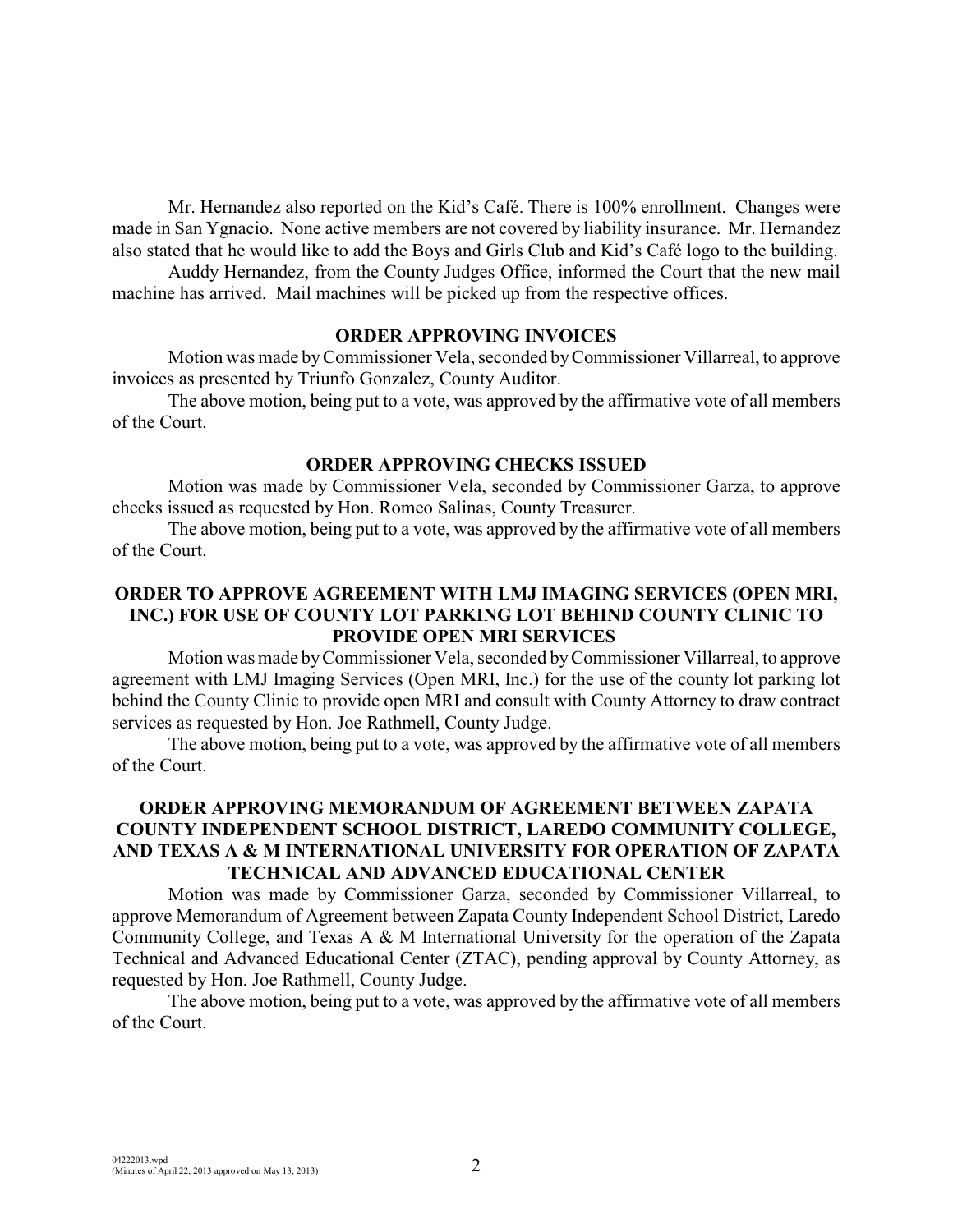Mr. Hernandez also reported on the Kid's Café. There is 100% enrollment. Changes were made in San Ygnacio. None active members are not covered by liability insurance. Mr. Hernandez also stated that he would like to add the Boys and Girls Club and Kid's Café logo to the building.

Auddy Hernandez, from the County Judges Office, informed the Court that the new mail machine has arrived. Mail machines will be picked up from the respective offices.

#### **ORDER APPROVING INVOICES**

Motion was made byCommissioner Vela, seconded by Commissioner Villarreal, to approve invoices as presented by Triunfo Gonzalez, County Auditor.

The above motion, being put to a vote, was approved by the affirmative vote of all members of the Court.

### **ORDER APPROVING CHECKS ISSUED**

Motion was made by Commissioner Vela, seconded by Commissioner Garza, to approve checks issued as requested by Hon. Romeo Salinas, County Treasurer.

The above motion, being put to a vote, was approved by the affirmative vote of all members of the Court.

### **ORDER TO APPROVE AGREEMENT WITH LMJ IMAGING SERVICES (OPEN MRI, INC.) FOR USE OF COUNTY LOT PARKING LOT BEHIND COUNTY CLINIC TO PROVIDE OPEN MRI SERVICES**

Motion was made byCommissioner Vela, seconded by Commissioner Villarreal, to approve agreement with LMJ Imaging Services (Open MRI, Inc.) for the use of the county lot parking lot behind the County Clinic to provide open MRI and consult with County Attorney to draw contract services as requested by Hon. Joe Rathmell, County Judge.

The above motion, being put to a vote, was approved by the affirmative vote of all members of the Court.

### **ORDER APPROVING MEMORANDUM OF AGREEMENT BETWEEN ZAPATA COUNTY INDEPENDENT SCHOOL DISTRICT, LAREDO COMMUNITY COLLEGE, AND TEXAS A & M INTERNATIONAL UNIVERSITY FOR OPERATION OF ZAPATA TECHNICAL AND ADVANCED EDUCATIONAL CENTER**

Motion was made by Commissioner Garza, seconded by Commissioner Villarreal, to approve Memorandum of Agreement between Zapata County Independent School District, Laredo Community College, and Texas A & M International University for the operation of the Zapata Technical and Advanced Educational Center (ZTAC), pending approval by County Attorney, as requested by Hon. Joe Rathmell, County Judge.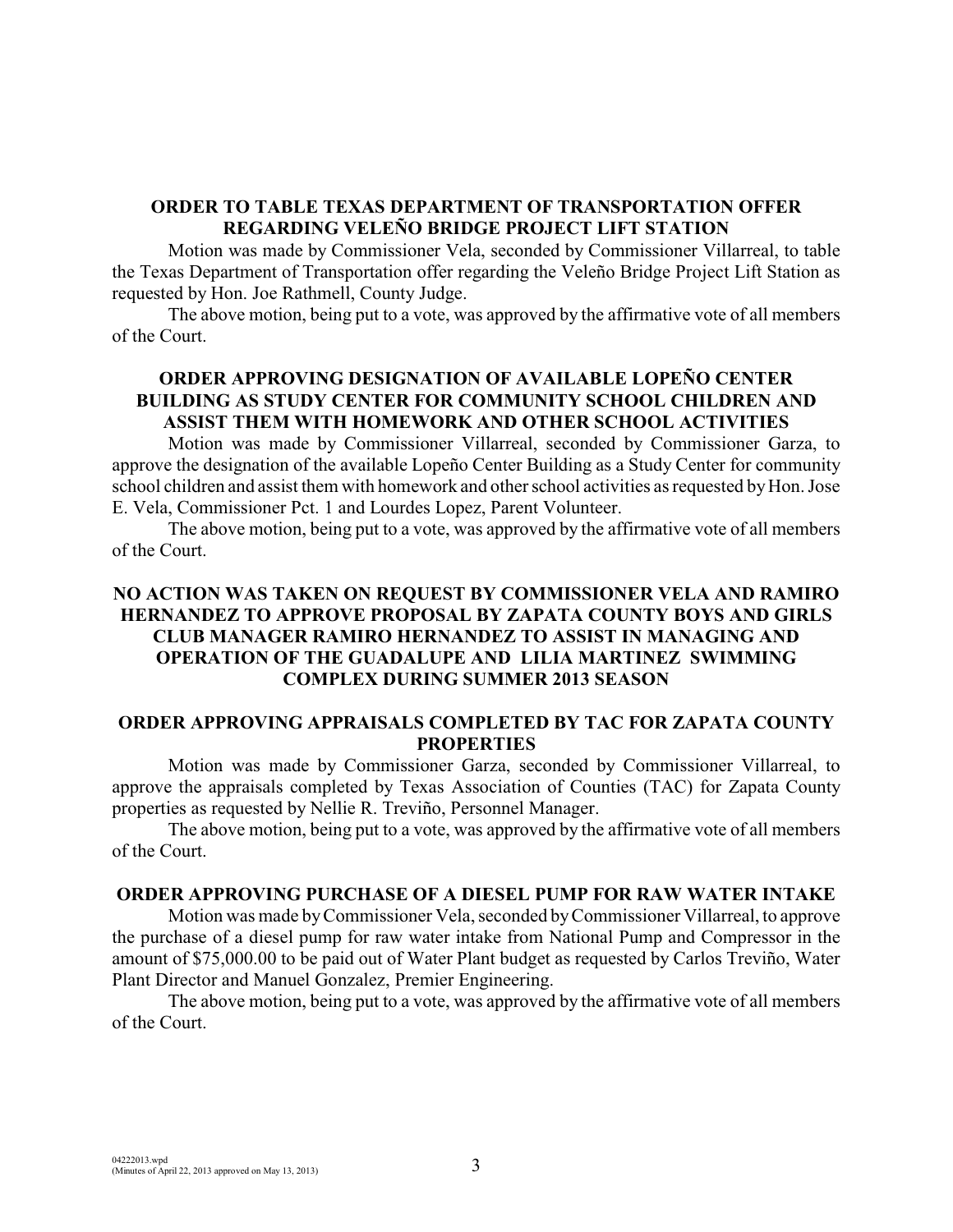#### **ORDER TO TABLE TEXAS DEPARTMENT OF TRANSPORTATION OFFER REGARDING VELEÑO BRIDGE PROJECT LIFT STATION**

Motion was made by Commissioner Vela, seconded by Commissioner Villarreal, to table the Texas Department of Transportation offer regarding the Veleño Bridge Project Lift Station as requested by Hon. Joe Rathmell, County Judge.

The above motion, being put to a vote, was approved by the affirmative vote of all members of the Court.

### **ORDER APPROVING DESIGNATION OF AVAILABLE LOPEÑO CENTER BUILDING AS STUDY CENTER FOR COMMUNITY SCHOOL CHILDREN AND ASSIST THEM WITH HOMEWORK AND OTHER SCHOOL ACTIVITIES**

Motion was made by Commissioner Villarreal, seconded by Commissioner Garza, to approve the designation of the available Lopeño Center Building as a Study Center for community school children and assist them with homework and other school activities as requested by Hon. Jose E. Vela, Commissioner Pct. 1 and Lourdes Lopez, Parent Volunteer.

The above motion, being put to a vote, was approved by the affirmative vote of all members of the Court.

### **NO ACTION WAS TAKEN ON REQUEST BY COMMISSIONER VELA AND RAMIRO HERNANDEZ TO APPROVE PROPOSAL BY ZAPATA COUNTY BOYS AND GIRLS CLUB MANAGER RAMIRO HERNANDEZ TO ASSIST IN MANAGING AND OPERATION OF THE GUADALUPE AND LILIA MARTINEZ SWIMMING COMPLEX DURING SUMMER 2013 SEASON**

### **ORDER APPROVING APPRAISALS COMPLETED BY TAC FOR ZAPATA COUNTY PROPERTIES**

Motion was made by Commissioner Garza, seconded by Commissioner Villarreal, to approve the appraisals completed by Texas Association of Counties (TAC) for Zapata County properties as requested by Nellie R. Treviño, Personnel Manager.

The above motion, being put to a vote, was approved by the affirmative vote of all members of the Court.

### **ORDER APPROVING PURCHASE OF A DIESEL PUMP FOR RAW WATER INTAKE**

Motion was made by Commissioner Vela, seconded byCommissioner Villarreal, to approve the purchase of a diesel pump for raw water intake from National Pump and Compressor in the amount of \$75,000.00 to be paid out of Water Plant budget as requested by Carlos Treviño, Water Plant Director and Manuel Gonzalez, Premier Engineering.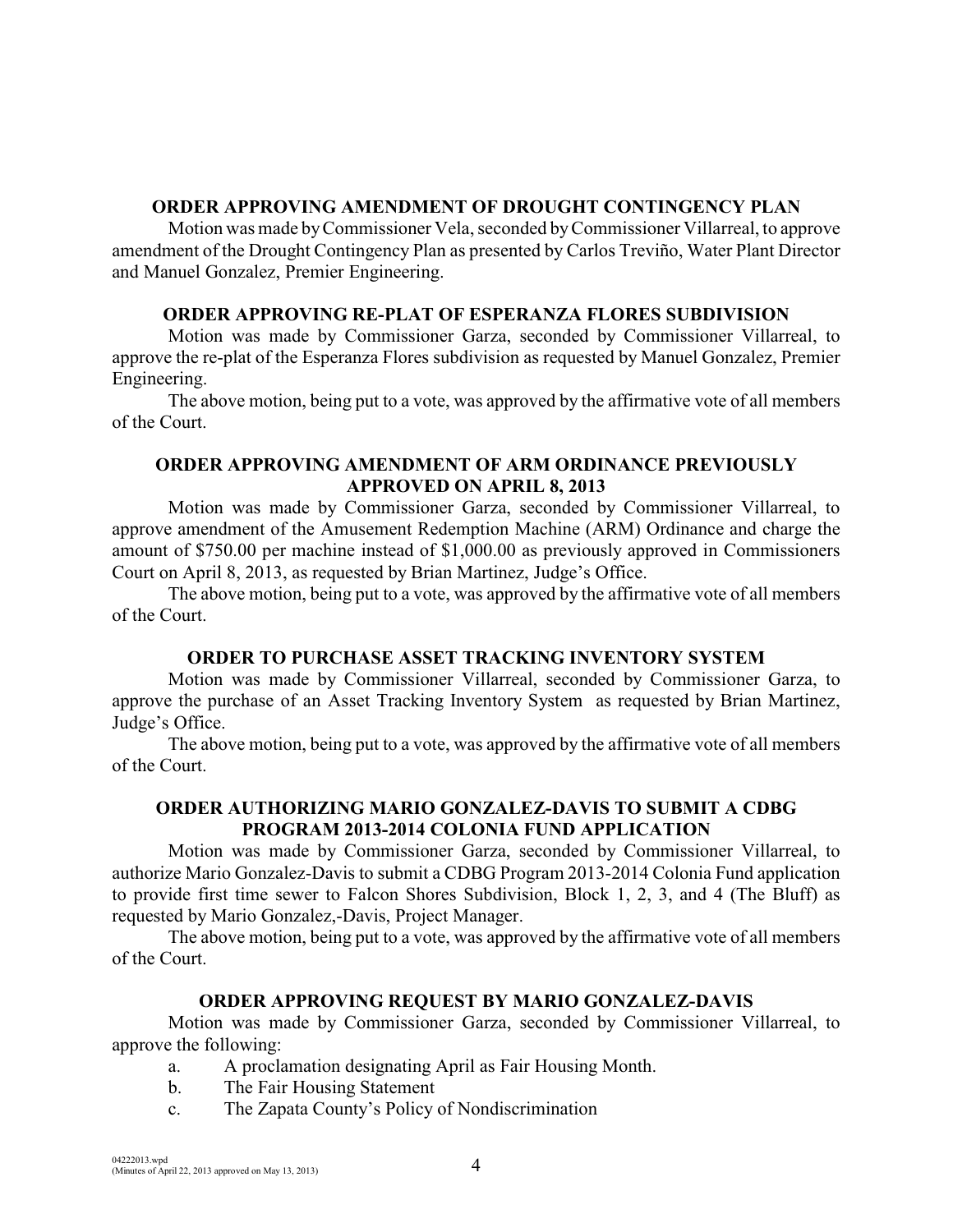### **ORDER APPROVING AMENDMENT OF DROUGHT CONTINGENCY PLAN**

Motion was made by Commissioner Vela, seconded byCommissioner Villarreal, to approve amendment of the Drought Contingency Plan as presented by Carlos Treviño, Water Plant Director and Manuel Gonzalez, Premier Engineering.

### **ORDER APPROVING RE-PLAT OF ESPERANZA FLORES SUBDIVISION**

Motion was made by Commissioner Garza, seconded by Commissioner Villarreal, to approve the re-plat of the Esperanza Flores subdivision as requested by Manuel Gonzalez, Premier Engineering.

The above motion, being put to a vote, was approved by the affirmative vote of all members of the Court.

### **ORDER APPROVING AMENDMENT OF ARM ORDINANCE PREVIOUSLY APPROVED ON APRIL 8, 2013**

Motion was made by Commissioner Garza, seconded by Commissioner Villarreal, to approve amendment of the Amusement Redemption Machine (ARM) Ordinance and charge the amount of \$750.00 per machine instead of \$1,000.00 as previously approved in Commissioners Court on April 8, 2013, as requested by Brian Martinez, Judge's Office.

The above motion, being put to a vote, was approved by the affirmative vote of all members of the Court.

# **ORDER TO PURCHASE ASSET TRACKING INVENTORY SYSTEM**

Motion was made by Commissioner Villarreal, seconded by Commissioner Garza, to approve the purchase of an Asset Tracking Inventory System as requested by Brian Martinez, Judge's Office.

The above motion, being put to a vote, was approved by the affirmative vote of all members of the Court.

### **ORDER AUTHORIZING MARIO GONZALEZ-DAVIS TO SUBMIT A CDBG PROGRAM 2013-2014 COLONIA FUND APPLICATION**

Motion was made by Commissioner Garza, seconded by Commissioner Villarreal, to authorize Mario Gonzalez-Davis to submit a CDBG Program 2013-2014 Colonia Fund application to provide first time sewer to Falcon Shores Subdivision, Block 1, 2, 3, and 4 (The Bluff) as requested by Mario Gonzalez,-Davis, Project Manager.

The above motion, being put to a vote, was approved by the affirmative vote of all members of the Court.

# **ORDER APPROVING REQUEST BY MARIO GONZALEZ-DAVIS**

Motion was made by Commissioner Garza, seconded by Commissioner Villarreal, to approve the following:

- a. A proclamation designating April as Fair Housing Month.
- b. The Fair Housing Statement
- c. The Zapata County's Policy of Nondiscrimination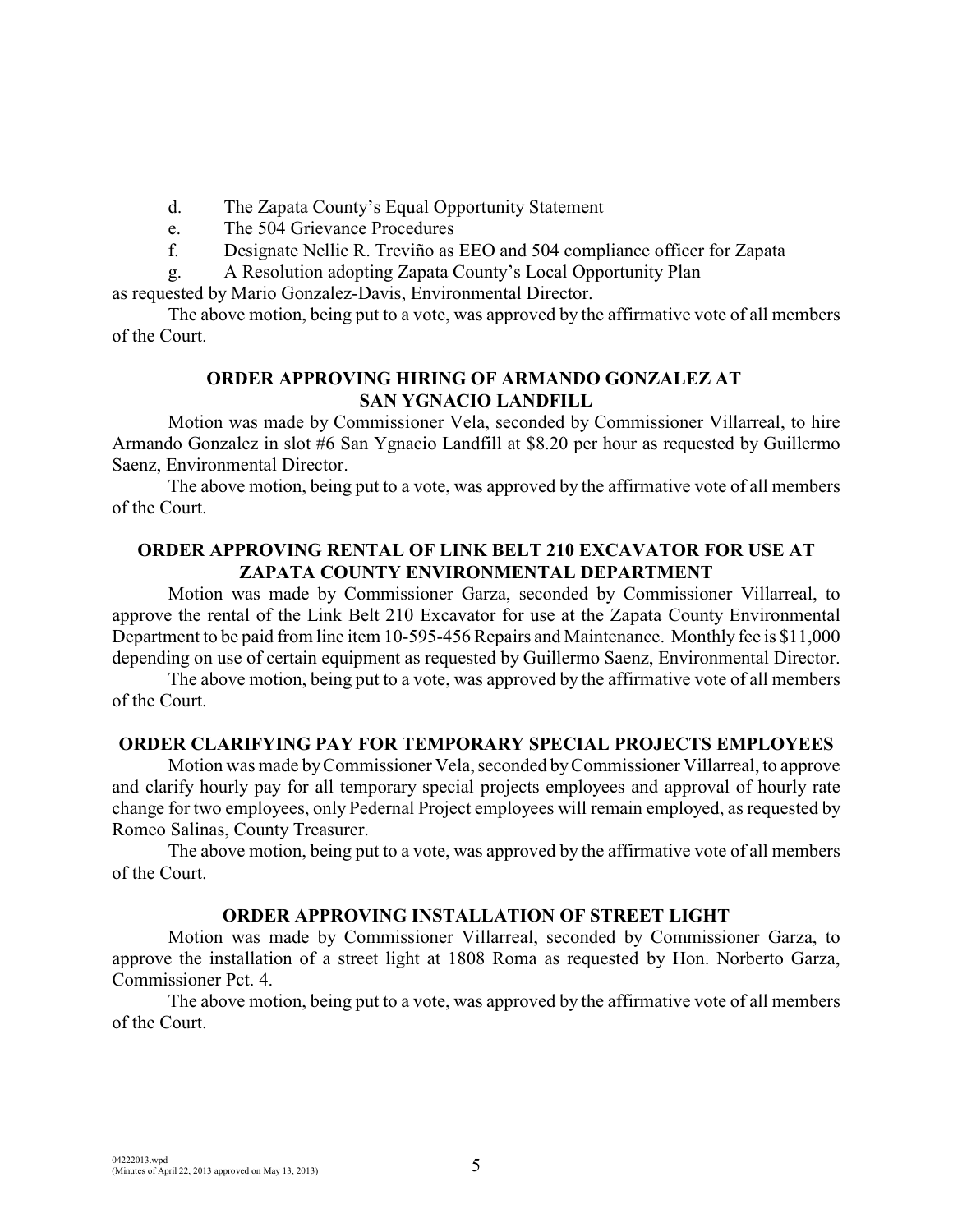- d. The Zapata County's Equal Opportunity Statement
- e. The 504 Grievance Procedures
- f. Designate Nellie R. Treviño as EEO and 504 compliance officer for Zapata
- g. A Resolution adopting Zapata County's Local Opportunity Plan

as requested by Mario Gonzalez-Davis, Environmental Director.

The above motion, being put to a vote, was approved by the affirmative vote of all members of the Court.

### **ORDER APPROVING HIRING OF ARMANDO GONZALEZ AT SAN YGNACIO LANDFILL**

Motion was made by Commissioner Vela, seconded by Commissioner Villarreal, to hire Armando Gonzalez in slot #6 San Ygnacio Landfill at \$8.20 per hour as requested by Guillermo Saenz, Environmental Director.

The above motion, being put to a vote, was approved by the affirmative vote of all members of the Court.

### **ORDER APPROVING RENTAL OF LINK BELT 210 EXCAVATOR FOR USE AT ZAPATA COUNTY ENVIRONMENTAL DEPARTMENT**

Motion was made by Commissioner Garza, seconded by Commissioner Villarreal, to approve the rental of the Link Belt 210 Excavator for use at the Zapata County Environmental Department to be paid from line item 10-595-456 Repairs and Maintenance. Monthly fee is \$11,000 depending on use of certain equipment as requested by Guillermo Saenz, Environmental Director.

The above motion, being put to a vote, was approved by the affirmative vote of all members of the Court.

### **ORDER CLARIFYING PAY FOR TEMPORARY SPECIAL PROJECTS EMPLOYEES**

Motion was made byCommissioner Vela, seconded byCommissioner Villarreal, to approve and clarify hourly pay for all temporary special projects employees and approval of hourly rate change for two employees, only Pedernal Project employees will remain employed, as requested by Romeo Salinas, County Treasurer.

The above motion, being put to a vote, was approved by the affirmative vote of all members of the Court.

### **ORDER APPROVING INSTALLATION OF STREET LIGHT**

Motion was made by Commissioner Villarreal, seconded by Commissioner Garza, to approve the installation of a street light at 1808 Roma as requested by Hon. Norberto Garza, Commissioner Pct. 4.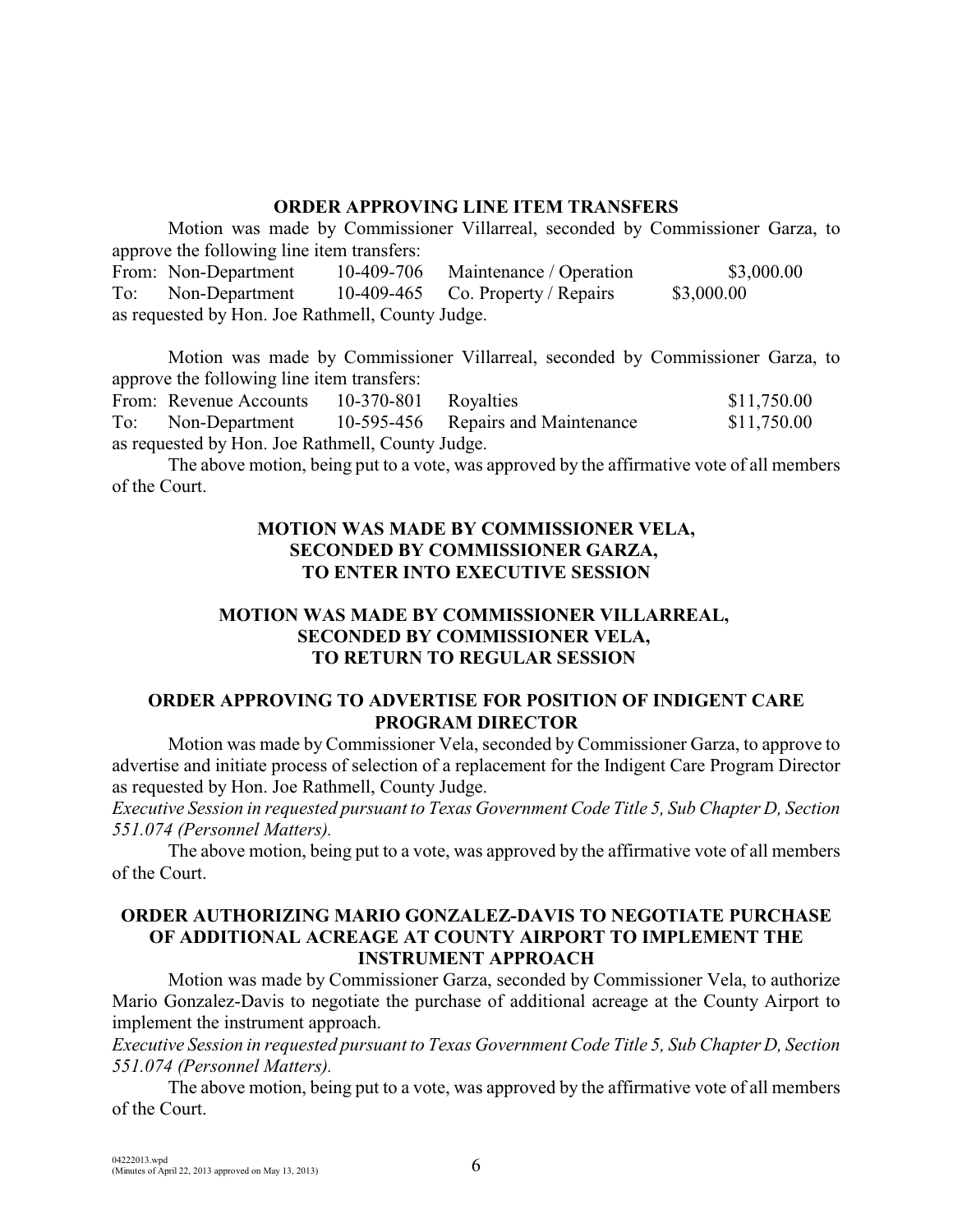### **ORDER APPROVING LINE ITEM TRANSFERS**

Motion was made by Commissioner Villarreal, seconded by Commissioner Garza, to approve the following line item transfers: From: Non-Department 10-409-706 Maintenance / Operation \$3,000.00 To: Non-Department 10-409-465 Co. Property / Repairs \$3,000.00 as requested by Hon. Joe Rathmell, County Judge.

Motion was made by Commissioner Villarreal, seconded by Commissioner Garza, to approve the following line item transfers: From: Revenue Accounts 10-370-801 Royalties \$11,750.00 To: Non-Department 10-595-456 Repairs and Maintenance \$11,750.00 as requested by Hon. Joe Rathmell, County Judge.

The above motion, being put to a vote, was approved by the affirmative vote of all members of the Court.

### **MOTION WAS MADE BY COMMISSIONER VELA, SECONDED BY COMMISSIONER GARZA, TO ENTER INTO EXECUTIVE SESSION**

# **MOTION WAS MADE BY COMMISSIONER VILLARREAL, SECONDED BY COMMISSIONER VELA, TO RETURN TO REGULAR SESSION**

# **ORDER APPROVING TO ADVERTISE FOR POSITION OF INDIGENT CARE PROGRAM DIRECTOR**

Motion was made by Commissioner Vela, seconded by Commissioner Garza, to approve to advertise and initiate process of selection of a replacement for the Indigent Care Program Director as requested by Hon. Joe Rathmell, County Judge.

*Executive Session in requested pursuant to Texas Government Code Title 5, Sub Chapter D, Section 551.074 (Personnel Matters).* 

The above motion, being put to a vote, was approved by the affirmative vote of all members of the Court.

### **ORDER AUTHORIZING MARIO GONZALEZ-DAVIS TO NEGOTIATE PURCHASE OF ADDITIONAL ACREAGE AT COUNTY AIRPORT TO IMPLEMENT THE INSTRUMENT APPROACH**

Motion was made by Commissioner Garza, seconded by Commissioner Vela, to authorize Mario Gonzalez-Davis to negotiate the purchase of additional acreage at the County Airport to implement the instrument approach.

*Executive Session in requested pursuant to Texas Government Code Title 5, Sub Chapter D, Section 551.074 (Personnel Matters).*